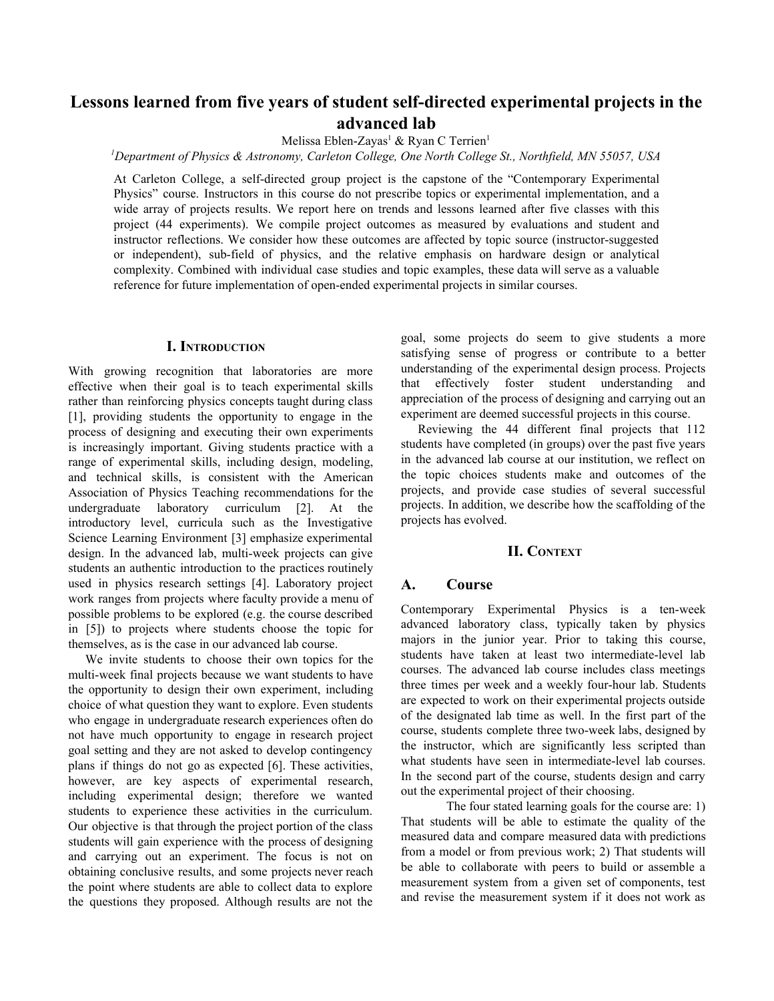# **Lessons learned from five years of student self-directed experimental projects in the advanced lab**

Melissa Eblen-Zayas<sup>1</sup> & Ryan C Terrien<sup>1</sup>

*<sup>1</sup>Department of Physics & Astronomy, Carleton College, One North College St., Northfield, MN 55057, USA*

At Carleton College, a self-directed group project is the capstone of the "Contemporary Experimental Physics" course. Instructors in this course do not prescribe topics or experimental implementation, and a wide array of projects results. We report here on trends and lessons learned after five classes with this project (44 experiments). We compile project outcomes as measured by evaluations and student and instructor reflections. We consider how these outcomes are affected by topic source (instructor-suggested or independent), sub-field of physics, and the relative emphasis on hardware design or analytical complexity. Combined with individual case studies and topic examples, these data will serve as a valuable reference for future implementation of open-ended experimental projects in similar courses.

#### **I. INTRODUCTION**

With growing recognition that laboratories are more effective when their goal is to teach experimental skills rather than reinforcing physics concepts taught during class [1], providing students the opportunity to engage in the process of designing and executing their own experiments is increasingly important. Giving students practice with a range of experimental skills, including design, modeling, and technical skills, is consistent with the American Association of Physics Teaching recommendations for the undergraduate laboratory curriculum [2]. At the introductory level, curricula such as the Investigative Science Learning Environment [3] emphasize experimental design. In the advanced lab, multi-week projects can give students an authentic introduction to the practices routinely used in physics research settings [4]. Laboratory project work ranges from projects where faculty provide a menu of possible problems to be explored (e.g. the course described in [5]) to projects where students choose the topic for themselves, as is the case in our advanced lab course.

We invite students to choose their own topics for the multi-week final projects because we want students to have the opportunity to design their own experiment, including choice of what question they want to explore. Even students who engage in undergraduate research experiences often do not have much opportunity to engage in research project goal setting and they are not asked to develop contingency plans if things do not go as expected [6]. These activities, however, are key aspects of experimental research, including experimental design; therefore we wanted students to experience these activities in the curriculum. Our objective is that through the project portion of the class students will gain experience with the process of designing and carrying out an experiment. The focus is not on obtaining conclusive results, and some projects never reach the point where students are able to collect data to explore the questions they proposed. Although results are not the goal, some projects do seem to give students a more satisfying sense of progress or contribute to a better understanding of the experimental design process. Projects that effectively foster student understanding and appreciation of the process of designing and carrying out an experiment are deemed successful projects in this course.

Reviewing the 44 different final projects that 112 students have completed (in groups) over the past five years in the advanced lab course at our institution, we reflect on the topic choices students make and outcomes of the projects, and provide case studies of several successful projects. In addition, we describe how the scaffolding of the projects has evolved.

## **II. CONTEXT**

## **A. Course**

Contemporary Experimental Physics is a ten-week advanced laboratory class, typically taken by physics majors in the junior year. Prior to taking this course, students have taken at least two intermediate-level lab courses. The advanced lab course includes class meetings three times per week and a weekly four-hour lab. Students are expected to work on their experimental projects outside of the designated lab time as well. In the first part of the course, students complete three two-week labs, designed by the instructor, which are significantly less scripted than what students have seen in intermediate-level lab courses. In the second part of the course, students design and carry out the experimental project of their choosing.

The four stated learning goals for the course are: 1) That students will be able to estimate the quality of the measured data and compare measured data with predictions from a model or from previous work; 2) That students will be able to collaborate with peers to build or assemble a measurement system from a given set of components, test and revise the measurement system if it does not work as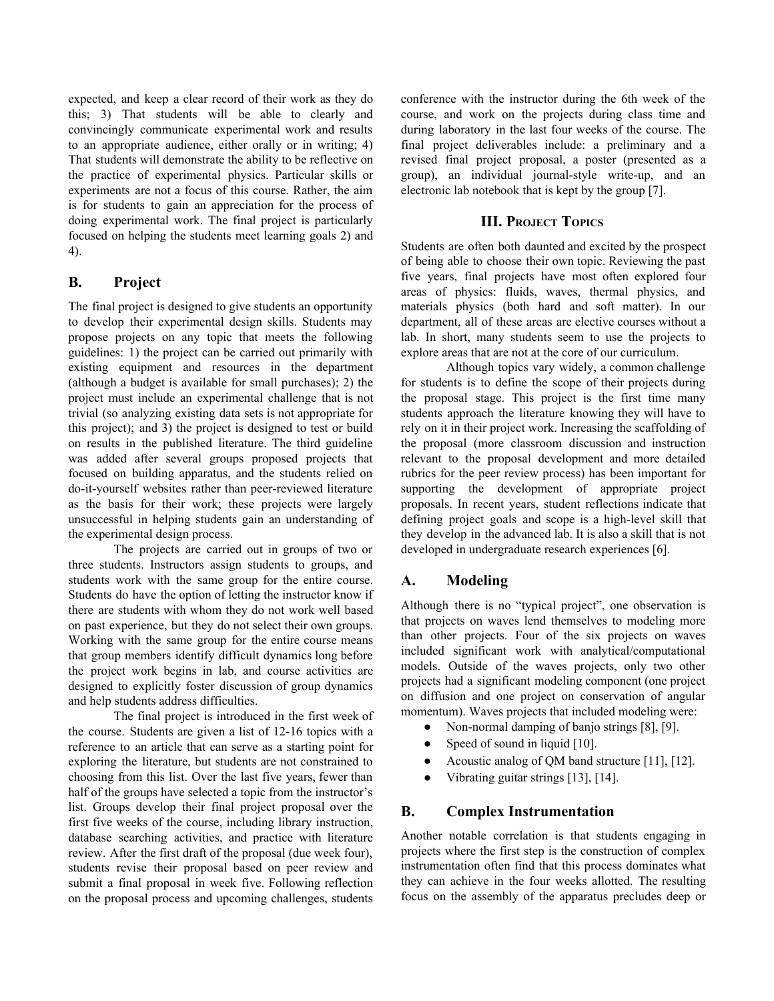expected, and keep a clear record of their work as they do this; 3) That students will be able to clearly and convincingly communicate experimental work and results to an appropriate audience, either orally or in writing; 4) That students will demonstrate the ability to be reflective on the practice of experimental physics. Particular skills or experiments are not a focus of this course. Rather, the aim is for students to gain an appreciation for the process of doing experimental work. The final project is particularly focused on helping the students meet learning goals 2) and 4).

# **B. Project**

The final project is designed to give students an opportunity to develop their experimental design skills. Students may propose projects on any topic that meets the following guidelines: 1) the project can be carried out primarily with existing equipment and resources in the department (although a budget is available for small purchases); 2) the project must include an experimental challenge that is not trivial (so analyzing existing data sets is not appropriate for this project); and 3) the project is designed to test or build on results in the published literature. The third guideline was added after several groups proposed projects that focused on building apparatus, and the students relied on do-it-yourself websites rather than peer-reviewed literature as the basis for their work; these projects were largely unsuccessful in helping students gain an understanding of the experimental design process.

The projects are carried out in groups of two or three students. Instructors assign students to groups, and students work with the same group for the entire course. Students do have the option of letting the instructor know if there are students with whom they do not work well based on past experience, but they do not select their own groups. Working with the same group for the entire course means that group members identify difficult dynamics long before the project work begins in lab, and course activities are designed to explicitly foster discussion of group dynamics and help students address difficulties.

The final project is introduced in the first week of the course. Students are given a list of 12-16 topics with a reference to an article that can serve as a starting point for exploring the literature, but students are not constrained to choosing from this list. Over the last five years, fewer than half of the groups have selected a topic from the instructor's list. Groups develop their final project proposal over the first five weeks of the course, including library instruction, database searching activities, and practice with literature review. After the first draft of the proposal (due week four), students revise their proposal based on peer review and submit a final proposal in week five. Following reflection on the proposal process and upcoming challenges, students

conference with the instructor during the 6th week of the course, and work on the projects during class time and during laboratory in the last four weeks of the course. The final project deliverables include: a preliminary and a revised final project proposal, a poster (presented as a group), an individual journal-style write-up, and an electronic lab notebook that is kept by the group [7].

## **III. PROJECT TOPICS**

Students are often both daunted and excited by the prospect of being able to choose their own topic. Reviewing the past five years, final projects have most often explored four areas of physics: fluids, waves, thermal physics, and materials physics (both hard and soft matter). In our department, all of these areas are elective courses without a lab. In short, many students seem to use the projects to explore areas that are not at the core of our curriculum.

Although topics vary widely, a common challenge for students is to define the scope of their projects during the proposal stage. This project is the first time many students approach the literature knowing they will have to rely on it in their project work. Increasing the scaffolding of the proposal (more classroom discussion and instruction relevant to the proposal development and more detailed rubrics for the peer review process) has been important for supporting the development of appropriate project proposals. In recent years, student reflections indicate that defining project goals and scope is a high-level skill that they develop in the advanced lab. It is also a skill that is not developed in undergraduate research experiences [6].

## **A. Modeling**

Although there is no "typical project", one observation is that projects on waves lend themselves to modeling more than other projects. Four of the six projects on waves included significant work with analytical/computational models. Outside of the waves projects, only two other projects had a significant modeling component (one project on diffusion and one project on conservation of angular momentum). Waves projects that included modeling were:

- Non-normal damping of banjo strings [8], [9].
- Speed of sound in liquid [10].
- Acoustic analog of QM band structure  $[11]$ ,  $[12]$ .
- Vibrating guitar strings [13], [14].

## **B. Complex Instrumentation**

Another notable correlation is that students engaging in projects where the first step is the construction of complex instrumentation often find that this process dominates what they can achieve in the four weeks allotted. The resulting focus on the assembly of the apparatus precludes deep or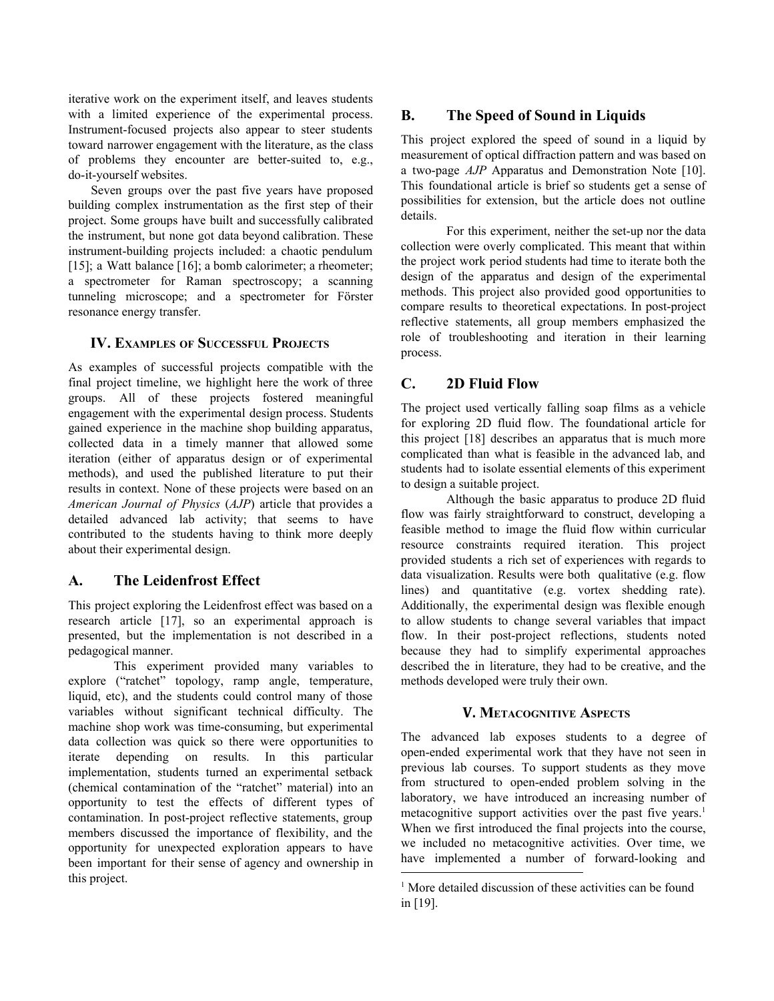iterative work on the experiment itself, and leaves students with a limited experience of the experimental process. Instrument-focused projects also appear to steer students toward narrower engagement with the literature, as the class of problems they encounter are better-suited to, e.g., do-it-yourself websites.

Seven groups over the past five years have proposed building complex instrumentation as the first step of their project. Some groups have built and successfully calibrated the instrument, but none got data beyond calibration. These instrument-building projects included: a chaotic pendulum [15]; a Watt balance [16]; a bomb calorimeter; a rheometer; a spectrometer for Raman spectroscopy; a scanning tunneling microscope; and a spectrometer for Förster resonance energy transfer.

## **IV. EXAMPLES OF SUCCESSFUL PROJECTS**

As examples of successful projects compatible with the final project timeline, we highlight here the work of three groups. All of these projects fostered meaningful engagement with the experimental design process. Students gained experience in the machine shop building apparatus, collected data in a timely manner that allowed some iteration (either of apparatus design or of experimental methods), and used the published literature to put their results in context. None of these projects were based on an *American Journal of Physics* (*AJP*) article that provides a detailed advanced lab activity; that seems to have contributed to the students having to think more deeply about their experimental design.

## **A. The Leidenfrost Effect**

This project exploring the Leidenfrost effect was based on a research article [17], so an experimental approach is presented, but the implementation is not described in a pedagogical manner.

This experiment provided many variables to explore ("ratchet" topology, ramp angle, temperature, liquid, etc), and the students could control many of those variables without significant technical difficulty. The machine shop work was time-consuming, but experimental data collection was quick so there were opportunities to iterate depending on results. In this particular implementation, students turned an experimental setback (chemical contamination of the "ratchet" material) into an opportunity to test the effects of different types of contamination. In post-project reflective statements, group members discussed the importance of flexibility, and the opportunity for unexpected exploration appears to have been important for their sense of agency and ownership in this project.

# **B. The Speed of Sound in Liquids**

This project explored the speed of sound in a liquid by measurement of optical diffraction pattern and was based on a two-page *AJP* Apparatus and Demonstration Note [10]. This foundational article is brief so students get a sense of possibilities for extension, but the article does not outline details.

For this experiment, neither the set-up nor the data collection were overly complicated. This meant that within the project work period students had time to iterate both the design of the apparatus and design of the experimental methods. This project also provided good opportunities to compare results to theoretical expectations. In post-project reflective statements, all group members emphasized the role of troubleshooting and iteration in their learning process.

# **C. 2D Fluid Flow**

The project used vertically falling soap films as a vehicle for exploring 2D fluid flow. The foundational article for this project [18] describes an apparatus that is much more complicated than what is feasible in the advanced lab, and students had to isolate essential elements of this experiment to design a suitable project.

Although the basic apparatus to produce 2D fluid flow was fairly straightforward to construct, developing a feasible method to image the fluid flow within curricular resource constraints required iteration. This project provided students a rich set of experiences with regards to data visualization. Results were both qualitative (e.g. flow lines) and quantitative (e.g. vortex shedding rate). Additionally, the experimental design was flexible enough to allow students to change several variables that impact flow. In their post-project reflections, students noted because they had to simplify experimental approaches described the in literature, they had to be creative, and the methods developed were truly their own.

## **V. METACOGNITIVE ASPECTS**

The advanced lab exposes students to a degree of open-ended experimental work that they have not seen in previous lab courses. To support students as they move from structured to open-ended problem solving in the laboratory, we have introduced an increasing number of metacognitive support activities over the past five years.<sup>1</sup> When we first introduced the final projects into the course, we included no metacognitive activities. Over time, we have implemented a number of forward-looking and

<sup>&</sup>lt;sup>1</sup> More detailed discussion of these activities can be found in [19].